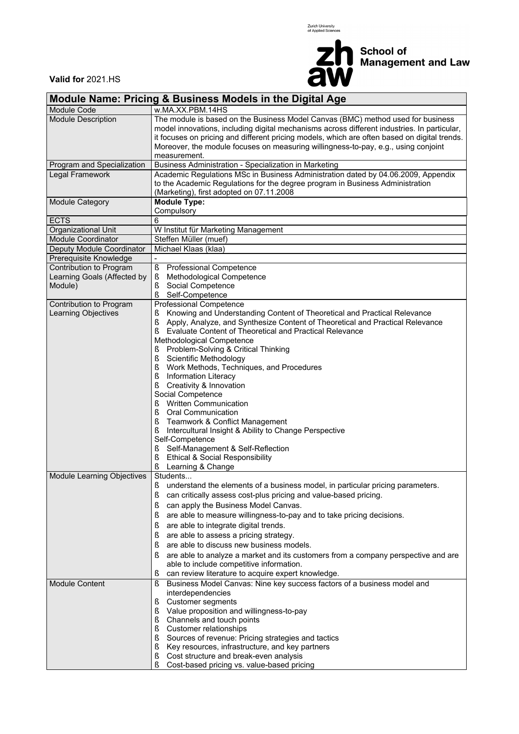



**Valid for** 2021.HS

| <b>Module Name: Pricing &amp; Business Models in the Digital Age</b> |                                                                                                                                                                                                    |  |  |  |  |  |  |  |  |
|----------------------------------------------------------------------|----------------------------------------------------------------------------------------------------------------------------------------------------------------------------------------------------|--|--|--|--|--|--|--|--|
| Module Code                                                          | w.MA.XX.PBM.14HS                                                                                                                                                                                   |  |  |  |  |  |  |  |  |
| <b>Module Description</b>                                            | The module is based on the Business Model Canvas (BMC) method used for business<br>model innovations, including digital mechanisms across different industries. In particular,                     |  |  |  |  |  |  |  |  |
|                                                                      | it focuses on pricing and different pricing models, which are often based on digital trends.<br>Moreover, the module focuses on measuring willingness-to-pay, e.g., using conjoint<br>measurement. |  |  |  |  |  |  |  |  |
| Program and Specialization                                           | Business Administration - Specialization in Marketing                                                                                                                                              |  |  |  |  |  |  |  |  |
| Legal Framework                                                      | Academic Regulations MSc in Business Administration dated by 04.06.2009, Appendix                                                                                                                  |  |  |  |  |  |  |  |  |
|                                                                      | to the Academic Regulations for the degree program in Business Administration<br>(Marketing), first adopted on 07.11.2008                                                                          |  |  |  |  |  |  |  |  |
| Module Category                                                      | <b>Module Type:</b><br>Compulsory                                                                                                                                                                  |  |  |  |  |  |  |  |  |
| <b>ECTS</b>                                                          | 6                                                                                                                                                                                                  |  |  |  |  |  |  |  |  |
| Organizational Unit                                                  | W Institut für Marketing Management                                                                                                                                                                |  |  |  |  |  |  |  |  |
| <b>Module Coordinator</b>                                            | Steffen Müller (muef)                                                                                                                                                                              |  |  |  |  |  |  |  |  |
| Deputy Module Coordinator                                            | Michael Klaas (klaa)                                                                                                                                                                               |  |  |  |  |  |  |  |  |
| Prerequisite Knowledge                                               |                                                                                                                                                                                                    |  |  |  |  |  |  |  |  |
| Contribution to Program                                              | ş<br>Professional Competence                                                                                                                                                                       |  |  |  |  |  |  |  |  |
| Learning Goals (Affected by                                          | Methodological Competence<br>ş                                                                                                                                                                     |  |  |  |  |  |  |  |  |
| Module)                                                              | Social Competence<br>ş                                                                                                                                                                             |  |  |  |  |  |  |  |  |
|                                                                      | ş<br>Self-Competence                                                                                                                                                                               |  |  |  |  |  |  |  |  |
| Contribution to Program                                              | Professional Competence                                                                                                                                                                            |  |  |  |  |  |  |  |  |
| Learning Objectives                                                  | Knowing and Understanding Content of Theoretical and Practical Relevance<br>ş                                                                                                                      |  |  |  |  |  |  |  |  |
|                                                                      | $\S$<br>Apply, Analyze, and Synthesize Content of Theoretical and Practical Relevance                                                                                                              |  |  |  |  |  |  |  |  |
|                                                                      | Evaluate Content of Theoretical and Practical Relevance<br>ş                                                                                                                                       |  |  |  |  |  |  |  |  |
|                                                                      | Methodological Competence                                                                                                                                                                          |  |  |  |  |  |  |  |  |
|                                                                      | Problem-Solving & Critical Thinking<br>ş                                                                                                                                                           |  |  |  |  |  |  |  |  |
|                                                                      | Scientific Methodology<br>ş                                                                                                                                                                        |  |  |  |  |  |  |  |  |
|                                                                      | Work Methods, Techniques, and Procedures<br>ş                                                                                                                                                      |  |  |  |  |  |  |  |  |
|                                                                      | ş<br>Information Literacy                                                                                                                                                                          |  |  |  |  |  |  |  |  |
|                                                                      | ş<br>Creativity & Innovation                                                                                                                                                                       |  |  |  |  |  |  |  |  |
|                                                                      | Social Competence                                                                                                                                                                                  |  |  |  |  |  |  |  |  |
|                                                                      | <b>Written Communication</b><br>S                                                                                                                                                                  |  |  |  |  |  |  |  |  |
|                                                                      | ş<br><b>Oral Communication</b>                                                                                                                                                                     |  |  |  |  |  |  |  |  |
|                                                                      | ş<br>Teamwork & Conflict Management                                                                                                                                                                |  |  |  |  |  |  |  |  |
|                                                                      | Intercultural Insight & Ability to Change Perspective<br>ş                                                                                                                                         |  |  |  |  |  |  |  |  |
|                                                                      | Self-Competence                                                                                                                                                                                    |  |  |  |  |  |  |  |  |
|                                                                      | Self-Management & Self-Reflection<br>ş                                                                                                                                                             |  |  |  |  |  |  |  |  |
|                                                                      | Ş<br><b>Ethical &amp; Social Responsibility</b>                                                                                                                                                    |  |  |  |  |  |  |  |  |
|                                                                      | ş<br>Learning & Change                                                                                                                                                                             |  |  |  |  |  |  |  |  |
| Module Learning Objectives                                           | Students                                                                                                                                                                                           |  |  |  |  |  |  |  |  |
|                                                                      | § understand the elements of a business model, in particular pricing parameters.                                                                                                                   |  |  |  |  |  |  |  |  |
|                                                                      |                                                                                                                                                                                                    |  |  |  |  |  |  |  |  |
|                                                                      | $\S$<br>can critically assess cost-plus pricing and value-based pricing.                                                                                                                           |  |  |  |  |  |  |  |  |
|                                                                      | can apply the Business Model Canvas.<br>ş                                                                                                                                                          |  |  |  |  |  |  |  |  |
|                                                                      | are able to measure willingness-to-pay and to take pricing decisions.<br>ş                                                                                                                         |  |  |  |  |  |  |  |  |
|                                                                      | ş<br>are able to integrate digital trends.                                                                                                                                                         |  |  |  |  |  |  |  |  |
|                                                                      | are able to assess a pricing strategy.<br>ş                                                                                                                                                        |  |  |  |  |  |  |  |  |
|                                                                      | are able to discuss new business models.<br>ş                                                                                                                                                      |  |  |  |  |  |  |  |  |
|                                                                      | ş<br>are able to analyze a market and its customers from a company perspective and are                                                                                                             |  |  |  |  |  |  |  |  |
|                                                                      | able to include competitive information.                                                                                                                                                           |  |  |  |  |  |  |  |  |
|                                                                      | can review literature to acquire expert knowledge.<br>S                                                                                                                                            |  |  |  |  |  |  |  |  |
| <b>Module Content</b>                                                | Business Model Canvas: Nine key success factors of a business model and<br>ş                                                                                                                       |  |  |  |  |  |  |  |  |
|                                                                      | interdependencies                                                                                                                                                                                  |  |  |  |  |  |  |  |  |
|                                                                      | Customer segments<br>ş                                                                                                                                                                             |  |  |  |  |  |  |  |  |
|                                                                      | Value proposition and willingness-to-pay<br>ş                                                                                                                                                      |  |  |  |  |  |  |  |  |
|                                                                      | Channels and touch points<br>ş                                                                                                                                                                     |  |  |  |  |  |  |  |  |
|                                                                      | ş<br>Customer relationships                                                                                                                                                                        |  |  |  |  |  |  |  |  |
|                                                                      | Sources of revenue: Pricing strategies and tactics<br>ş                                                                                                                                            |  |  |  |  |  |  |  |  |
|                                                                      | ş<br>Key resources, infrastructure, and key partners                                                                                                                                               |  |  |  |  |  |  |  |  |
|                                                                      | Cost structure and break-even analysis<br>ş                                                                                                                                                        |  |  |  |  |  |  |  |  |
|                                                                      | ş<br>Cost-based pricing vs. value-based pricing                                                                                                                                                    |  |  |  |  |  |  |  |  |